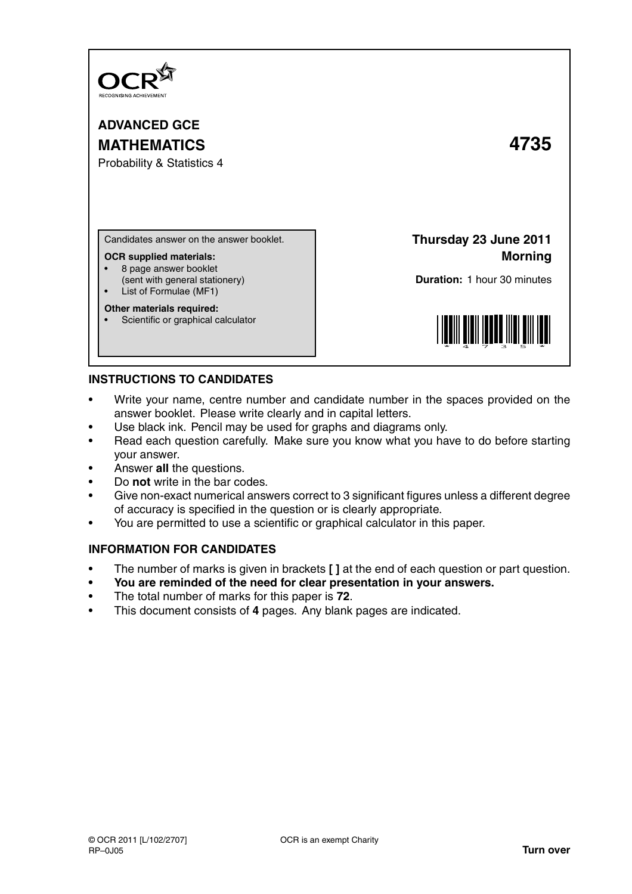

**ADVANCED GCE MATHEMATICS 4735**

Probability & Statistics 4

Candidates answer on the answer booklet.

#### **OCR supplied materials:**

- 8 page answer booklet
- (sent with general stationery)
- List of Formulae (MF1)

### **Other materials required:**

Scientific or graphical calculator

**Thursday 23 June 2011 Morning**

**Duration:** 1 hour 30 minutes



# **INSTRUCTIONS TO CANDIDATES**

- Write your name, centre number and candidate number in the spaces provided on the answer booklet. Please write clearly and in capital letters.
- Use black ink. Pencil may be used for graphs and diagrams only.
- Read each question carefully. Make sure you know what you have to do before starting your answer.
- Answer **all** the questions.
- Do **not** write in the bar codes.
- Give non-exact numerical answers correct to 3 significant figures unless a different degree of accuracy is specified in the question or is clearly appropriate.
- You are permitted to use a scientific or graphical calculator in this paper.

# **INFORMATION FOR CANDIDATES**

- The number of marks is given in brackets **[ ]** at the end of each question or part question.
- **You are reminded of the need for clear presentation in your answers.**
- The total number of marks for this paper is **72**.
- This document consists of **4** pages. Any blank pages are indicated.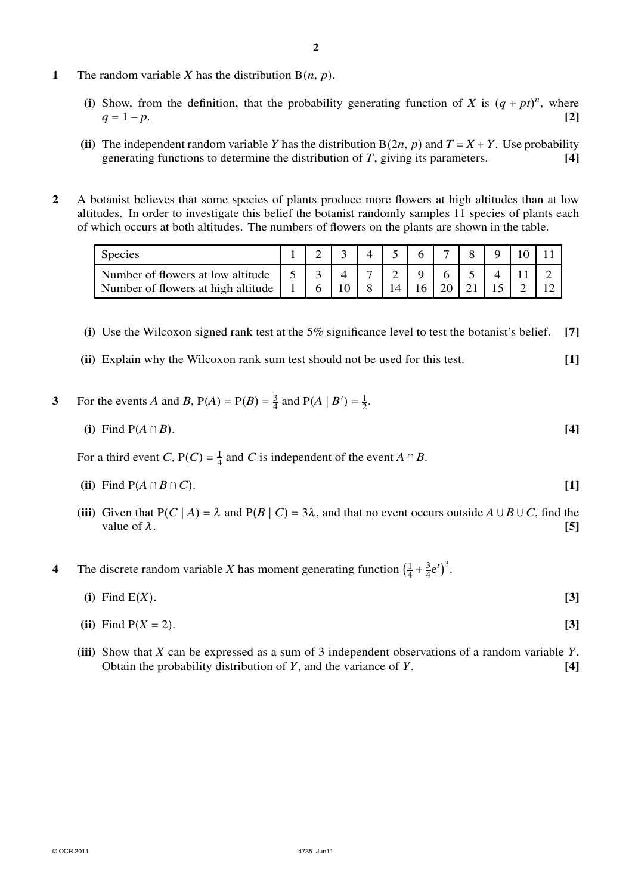- (i) Show, from the definition, that the probability generating function of *X* is  $(q + pt)^n$ , where  $q = 1 - p.$  **[2]**
- **(ii)** The independent random variable *Y* has the distribution  $B(2n, p)$  and  $T = X + Y$ . Use probability generating functions to determine the distribution of *T*, giving its parameters. **[4]**
- **2** A botanist believes that some species of plants produce more flowers at high altitudes than at low altitudes. In order to investigate this belief the botanist randomly samples 11 species of plants each of which occurs at both altitudes. The numbers of flowers on the plants are shown in the table.

| <b>Species</b>                     |              |   |    |   |    | 6  |    |  |  |
|------------------------------------|--------------|---|----|---|----|----|----|--|--|
| Number of flowers at low altitude  | $-1.5 \pm 1$ |   |    |   |    |    | 6  |  |  |
| Number of flowers at high altitude |              | 6 | 10 | 8 | 14 | 16 | 20 |  |  |

- **(i)** Use the Wilcoxon signed rank test at the 5% significance level to test the botanist's belief. **[7]**
- **(ii)** Explain why the Wilcoxon rank sum test should not be used for this test. **[1]**
- 3 For the events *A* and *B*,  $P(A) = P(B) = \frac{3}{4}$  and  $P(A | B') = \frac{1}{2}$ .
	- **(i)** Find P(*A* ∩ *B*). **[4]**

For a third event *C*,  $P(C) = \frac{1}{4}$  and *C* is independent of the event *A* ∩ *B*.

- **(ii)** Find  $P(A \cap B \cap C)$ . **[1]**
- (iii) Given that  $P(C | A) = \lambda$  and  $P(B | C) = 3\lambda$ , and that no event occurs outside  $A \cup B \cup C$ , find the value of  $\lambda$ . **[5]**
- **4** The discrete random variable *X* has moment generating function  $\left(\frac{1}{4}\right)$  $\frac{1}{4} + \frac{3}{4}$  $\frac{3}{4}e^{t}\big)^{3}$ .
	- **(i)** Find E(*X*). **[3]**
	- (ii) Find  $P(X = 2)$ . [3]
	- **(iii)** Show that *X* can be expressed as a sum of 3 independent observations of a random variable *Y*. Obtain the probability distribution of *Y*, and the variance of *Y*. **[4]**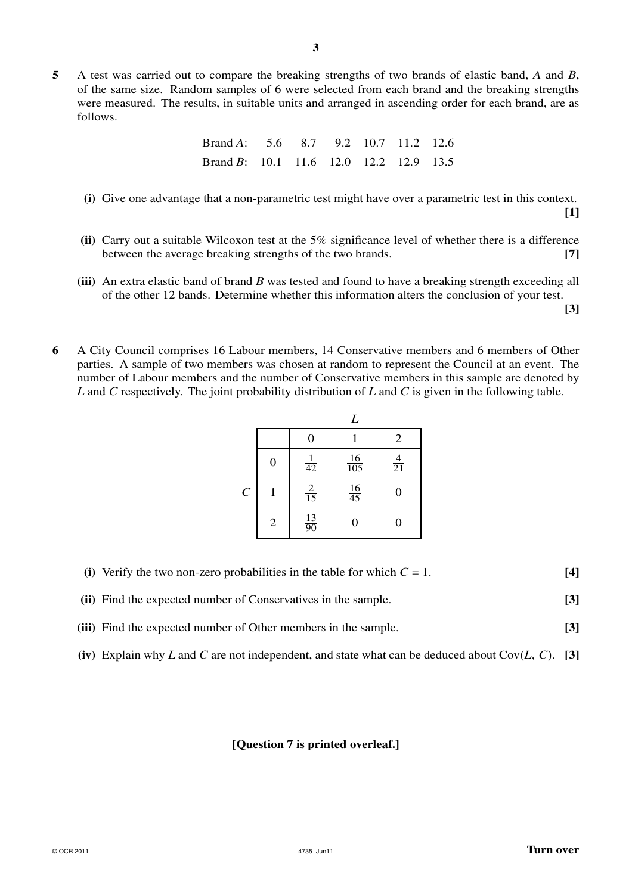**3**

| Brand A: $5.6$ $8.7$ $9.2$ $10.7$ $11.2$ $12.6$ |  |  |  |
|-------------------------------------------------|--|--|--|
| Brand B: $10.1$ 11.6 12.0 12.2 12.9 13.5        |  |  |  |

**(i)** Give one advantage that a non-parametric test might have over a parametric test in this context.

**[1]**

- **(ii)** Carry out a suitable Wilcoxon test at the 5% significance level of whether there is a difference between the average breaking strengths of the two brands. **[7]**
- **(iii)** An extra elastic band of brand *B* was tested and found to have a breaking strength exceeding all of the other 12 bands. Determine whether this information alters the conclusion of your test.

**[3]**

**6** A City Council comprises 16 Labour members, 14 Conservative members and 6 members of Other parties. A sample of two members was chosen at random to represent the Council at an event. The number of Labour members and the number of Conservative members in this sample are denoted by *L* and *C* respectively. The joint probability distribution of *L* and *C* is given in the following table.

|                       |                  |                 | L                |                |
|-----------------------|------------------|-----------------|------------------|----------------|
|                       |                  | 0               |                  | 2              |
|                       | $\boldsymbol{0}$ | $\frac{1}{42}$  | $\frac{16}{105}$ | $\frac{4}{21}$ |
| $\mathcal{C}_{0}^{0}$ |                  | $\frac{2}{15}$  | $\frac{16}{45}$  | 0              |
|                       | $\mathbf 2$      | $\frac{13}{90}$ | 0                |                |

- **(i)** Verify the two non-zero probabilities in the table for which  $C = 1$ . **[4]**
- **(ii)** Find the expected number of Conservatives in the sample. **[3]**
- **(iii)** Find the expected number of Other members in the sample. **[3]**
- **(iv)** Explain why *L* and *C* are not independent, and state what can be deduced about Cov(*L*, *C*). **[3]**

## **[Question 7 is printed overleaf.]**

follows.